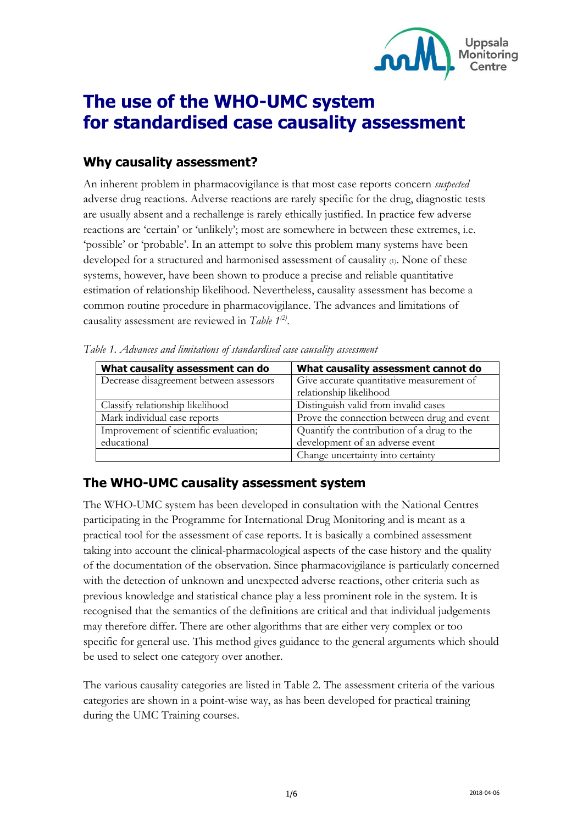

# **The use of the WHO-UMC system for standardised case causality assessment**

#### **Why causality assessment?**

An inherent problem in pharmacovigilance is that most case reports concern *suspected*  adverse drug reactions. Adverse reactions are rarely specific for the drug, diagnostic tests are usually absent and a rechallenge is rarely ethically justified. In practice few adverse reactions are 'certain' or 'unlikely'; most are somewhere in between these extremes, i.e. 'possible' or 'probable'. In an attempt to solve this problem many systems have been developed for a structured and harmonised assessment of causality (1). None of these systems, however, have been shown to produce a precise and reliable quantitative estimation of relationship likelihood. Nevertheless, causality assessment has become a common routine procedure in pharmacovigilance. The advances and limitations of causality assessment are reviewed in *Table 1<sup>(2)</sup>*.

| What causality assessment can do        | What causality assessment cannot do                                  |
|-----------------------------------------|----------------------------------------------------------------------|
| Decrease disagreement between assessors | Give accurate quantitative measurement of<br>relationship likelihood |
| Classify relationship likelihood        | Distinguish valid from invalid cases                                 |
| Mark individual case reports            | Prove the connection between drug and event                          |
| Improvement of scientific evaluation;   | Quantify the contribution of a drug to the                           |
| educational                             | development of an adverse event                                      |
|                                         | Change uncertainty into certainty                                    |

|  |  | Table 1. Advances and limitations of standardised case causality assessment |  |  |
|--|--|-----------------------------------------------------------------------------|--|--|
|  |  |                                                                             |  |  |

#### **The WHO-UMC causality assessment system**

The WHO-UMC system has been developed in consultation with the National Centres participating in the Programme for International Drug Monitoring and is meant as a practical tool for the assessment of case reports. It is basically a combined assessment taking into account the clinical-pharmacological aspects of the case history and the quality of the documentation of the observation. Since pharmacovigilance is particularly concerned with the detection of unknown and unexpected adverse reactions, other criteria such as previous knowledge and statistical chance play a less prominent role in the system. It is recognised that the semantics of the definitions are critical and that individual judgements may therefore differ. There are other algorithms that are either very complex or too specific for general use. This method gives guidance to the general arguments which should be used to select one category over another.

The various causality categories are listed in Table 2. The assessment criteria of the various categories are shown in a point-wise way, as has been developed for practical training during the UMC Training courses.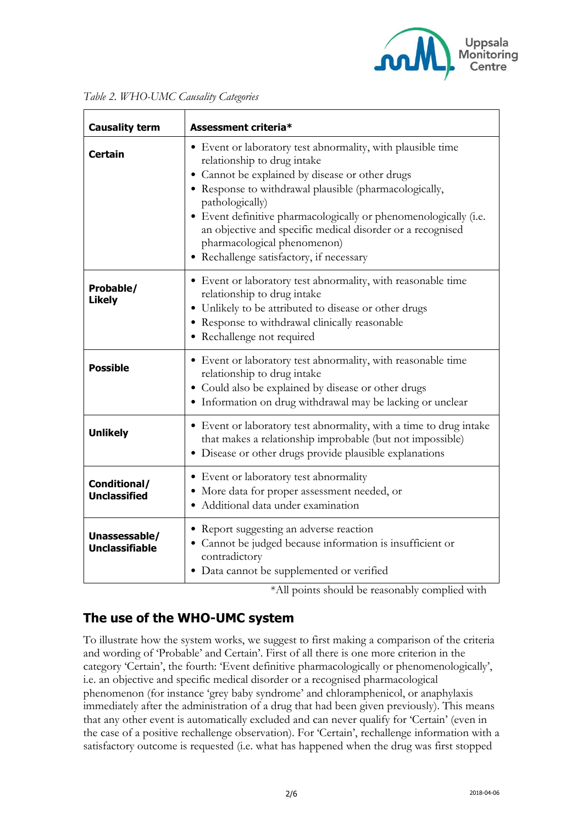

| <b>Causality term</b>                  | Assessment criteria*                                                                                                                                                                                                                                                                                                                                                                                                                  |
|----------------------------------------|---------------------------------------------------------------------------------------------------------------------------------------------------------------------------------------------------------------------------------------------------------------------------------------------------------------------------------------------------------------------------------------------------------------------------------------|
| <b>Certain</b>                         | • Event or laboratory test abnormality, with plausible time<br>relationship to drug intake<br>• Cannot be explained by disease or other drugs<br>• Response to withdrawal plausible (pharmacologically,<br>pathologically)<br>Event definitive pharmacologically or phenomenologically (i.e.<br>an objective and specific medical disorder or a recognised<br>pharmacological phenomenon)<br>• Rechallenge satisfactory, if necessary |
| Probable/<br><b>Likely</b>             | • Event or laboratory test abnormality, with reasonable time<br>relationship to drug intake<br>Unlikely to be attributed to disease or other drugs<br>• Response to withdrawal clinically reasonable<br>• Rechallenge not required                                                                                                                                                                                                    |
| <b>Possible</b>                        | • Event or laboratory test abnormality, with reasonable time<br>relationship to drug intake<br>• Could also be explained by disease or other drugs<br>• Information on drug withdrawal may be lacking or unclear                                                                                                                                                                                                                      |
| <b>Unlikely</b>                        | • Event or laboratory test abnormality, with a time to drug intake<br>that makes a relationship improbable (but not impossible)<br>· Disease or other drugs provide plausible explanations                                                                                                                                                                                                                                            |
| Conditional/<br><b>Unclassified</b>    | • Event or laboratory test abnormality<br>· More data for proper assessment needed, or<br>Additional data under examination                                                                                                                                                                                                                                                                                                           |
| Unassessable/<br><b>Unclassifiable</b> | • Report suggesting an adverse reaction<br>• Cannot be judged because information is insufficient or<br>contradictory<br>· Data cannot be supplemented or verified                                                                                                                                                                                                                                                                    |

|  | Table 2. WHO-UMC Causality Categories |  |  |
|--|---------------------------------------|--|--|
|--|---------------------------------------|--|--|

\*All points should be reasonably complied with

### **The use of the WHO-UMC system**

To illustrate how the system works, we suggest to first making a comparison of the criteria and wording of 'Probable' and Certain'. First of all there is one more criterion in the category 'Certain', the fourth: 'Event definitive pharmacologically or phenomenologically', i.e. an objective and specific medical disorder or a recognised pharmacological phenomenon (for instance 'grey baby syndrome' and chloramphenicol, or anaphylaxis immediately after the administration of a drug that had been given previously). This means that any other event is automatically excluded and can never qualify for 'Certain' (even in the case of a positive rechallenge observation). For 'Certain', rechallenge information with a satisfactory outcome is requested (i.e. what has happened when the drug was first stopped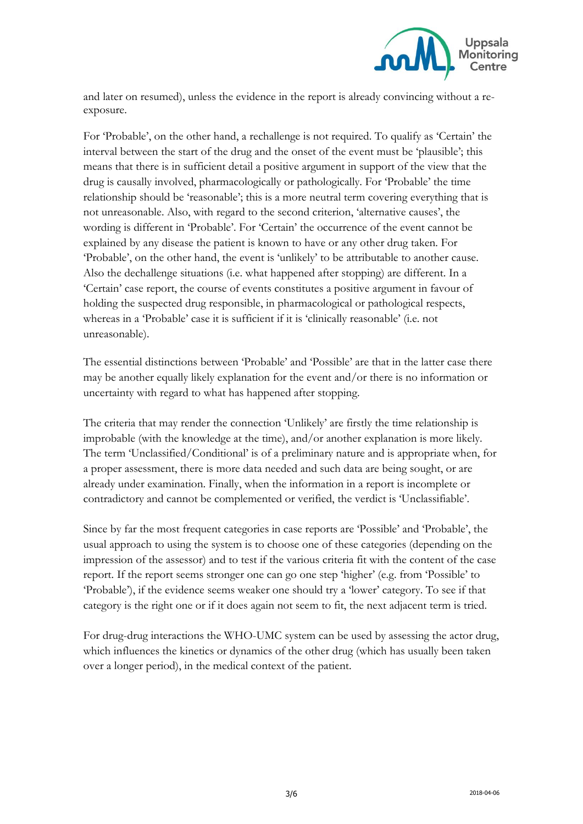

and later on resumed), unless the evidence in the report is already convincing without a reexposure.

For 'Probable', on the other hand, a rechallenge is not required. To qualify as 'Certain' the interval between the start of the drug and the onset of the event must be 'plausible'; this means that there is in sufficient detail a positive argument in support of the view that the drug is causally involved, pharmacologically or pathologically. For 'Probable' the time relationship should be 'reasonable'; this is a more neutral term covering everything that is not unreasonable. Also, with regard to the second criterion, 'alternative causes', the wording is different in 'Probable'. For 'Certain' the occurrence of the event cannot be explained by any disease the patient is known to have or any other drug taken. For 'Probable', on the other hand, the event is 'unlikely' to be attributable to another cause. Also the dechallenge situations (i.e. what happened after stopping) are different. In a 'Certain' case report, the course of events constitutes a positive argument in favour of holding the suspected drug responsible, in pharmacological or pathological respects, whereas in a 'Probable' case it is sufficient if it is 'clinically reasonable' (i.e. not unreasonable).

The essential distinctions between 'Probable' and 'Possible' are that in the latter case there may be another equally likely explanation for the event and/or there is no information or uncertainty with regard to what has happened after stopping.

The criteria that may render the connection 'Unlikely' are firstly the time relationship is improbable (with the knowledge at the time), and/or another explanation is more likely. The term 'Unclassified/Conditional' is of a preliminary nature and is appropriate when, for a proper assessment, there is more data needed and such data are being sought, or are already under examination. Finally, when the information in a report is incomplete or contradictory and cannot be complemented or verified, the verdict is 'Unclassifiable'.

Since by far the most frequent categories in case reports are 'Possible' and 'Probable', the usual approach to using the system is to choose one of these categories (depending on the impression of the assessor) and to test if the various criteria fit with the content of the case report. If the report seems stronger one can go one step 'higher' (e.g. from 'Possible' to 'Probable'), if the evidence seems weaker one should try a 'lower' category. To see if that category is the right one or if it does again not seem to fit, the next adjacent term is tried.

For drug-drug interactions the WHO-UMC system can be used by assessing the actor drug, which influences the kinetics or dynamics of the other drug (which has usually been taken over a longer period), in the medical context of the patient.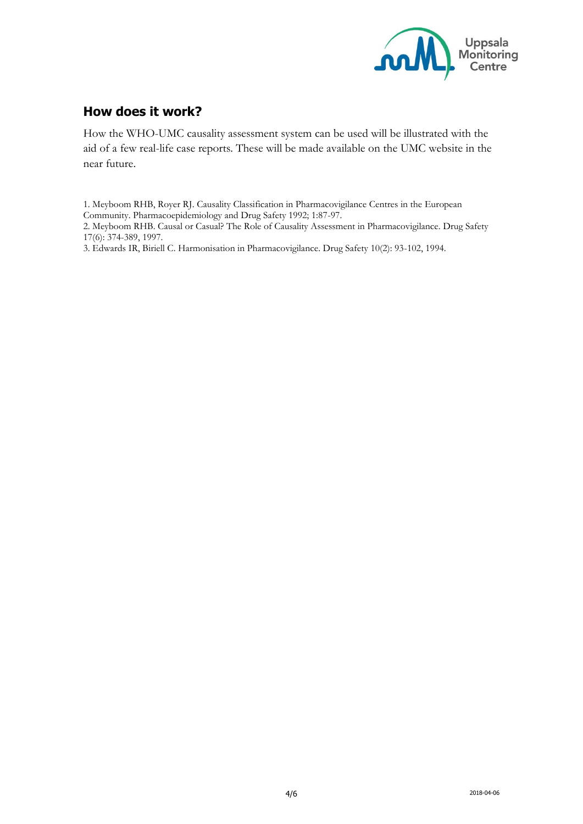

## **How does it work?**

How the WHO-UMC causality assessment system can be used will be illustrated with the aid of a few real-life case reports. These will be made available on the UMC website in the near future.

2. Meyboom RHB. Causal or Casual? The Role of Causality Assessment in Pharmacovigilance. Drug Safety 17(6): 374-389, 1997.

3. Edwards IR, Biriell C. Harmonisation in Pharmacovigilance. Drug Safety 10(2): 93-102, 1994.

<sup>1.</sup> Meyboom RHB, Royer RJ. Causality Classification in Pharmacovigilance Centres in the European

Community. Pharmacoepidemiology and Drug Safety 1992; 1:87-97.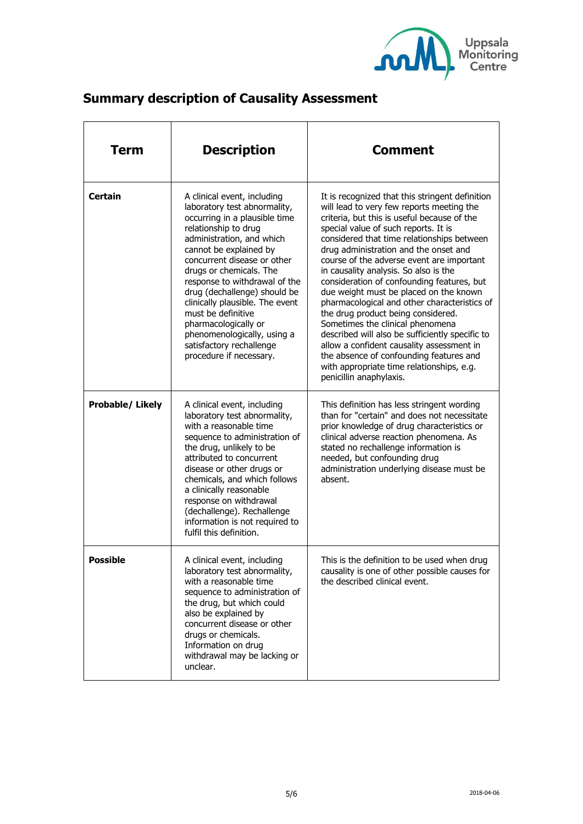

# **Summary description of Causality Assessment**

| <b>Term</b>                                                                                                                                                                                                                                                                                                             | <b>Description</b>                                                                                                                                                                                                                                                                                                                                                                                                                                                            | Comment                                                                                                                                                                                                                                                                                                                                                                                                                                                                                                                                                                                                                                                                                                                                                                                               |
|-------------------------------------------------------------------------------------------------------------------------------------------------------------------------------------------------------------------------------------------------------------------------------------------------------------------------|-------------------------------------------------------------------------------------------------------------------------------------------------------------------------------------------------------------------------------------------------------------------------------------------------------------------------------------------------------------------------------------------------------------------------------------------------------------------------------|-------------------------------------------------------------------------------------------------------------------------------------------------------------------------------------------------------------------------------------------------------------------------------------------------------------------------------------------------------------------------------------------------------------------------------------------------------------------------------------------------------------------------------------------------------------------------------------------------------------------------------------------------------------------------------------------------------------------------------------------------------------------------------------------------------|
| <b>Certain</b>                                                                                                                                                                                                                                                                                                          | A clinical event, including<br>laboratory test abnormality,<br>occurring in a plausible time<br>relationship to drug<br>administration, and which<br>cannot be explained by<br>concurrent disease or other<br>drugs or chemicals. The<br>response to withdrawal of the<br>drug (dechallenge) should be<br>clinically plausible. The event<br>must be definitive<br>pharmacologically or<br>phenomenologically, using a<br>satisfactory rechallenge<br>procedure if necessary. | It is recognized that this stringent definition<br>will lead to very few reports meeting the<br>criteria, but this is useful because of the<br>special value of such reports. It is<br>considered that time relationships between<br>drug administration and the onset and<br>course of the adverse event are important<br>in causality analysis. So also is the<br>consideration of confounding features, but<br>due weight must be placed on the known<br>pharmacological and other characteristics of<br>the drug product being considered.<br>Sometimes the clinical phenomena<br>described will also be sufficiently specific to<br>allow a confident causality assessment in<br>the absence of confounding features and<br>with appropriate time relationships, e.g.<br>penicillin anaphylaxis. |
| <b>Probable/ Likely</b>                                                                                                                                                                                                                                                                                                 | A clinical event, including<br>laboratory test abnormality,<br>with a reasonable time<br>sequence to administration of<br>the drug, unlikely to be<br>attributed to concurrent<br>disease or other drugs or<br>chemicals, and which follows<br>a clinically reasonable<br>response on withdrawal<br>(dechallenge). Rechallenge<br>information is not required to<br>fulfil this definition.                                                                                   | This definition has less stringent wording<br>than for "certain" and does not necessitate<br>prior knowledge of drug characteristics or<br>clinical adverse reaction phenomena. As<br>stated no rechallenge information is<br>needed, but confounding drug<br>administration underlying disease must be<br>absent.                                                                                                                                                                                                                                                                                                                                                                                                                                                                                    |
| A clinical event, including<br><b>Possible</b><br>laboratory test abnormality,<br>with a reasonable time<br>sequence to administration of<br>the drug, but which could<br>also be explained by<br>concurrent disease or other<br>drugs or chemicals.<br>Information on drug<br>withdrawal may be lacking or<br>unclear. |                                                                                                                                                                                                                                                                                                                                                                                                                                                                               | This is the definition to be used when drug<br>causality is one of other possible causes for<br>the described clinical event.                                                                                                                                                                                                                                                                                                                                                                                                                                                                                                                                                                                                                                                                         |